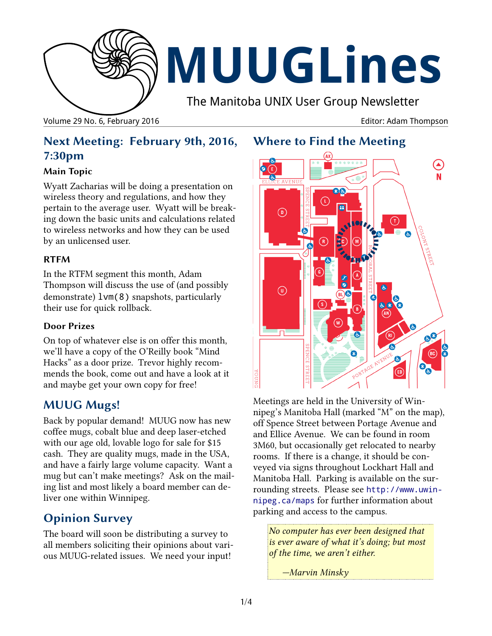

Volume 29 No. 6, February 2016 **Editor: Adam Thompson** Editor: Adam Thompson

# **Where to Find the Meeting**

# **Next Meeting: February 9th, 2016, 7:30pm**

#### **Main Topic**

Wyatt Zacharias will be doing a presentation on wireless theory and regulations, and how they pertain to the average user. Wyatt will be breaking down the basic units and calculations related to wireless networks and how they can be used by an unlicensed user.

#### **RTFM**

In the RTFM segment this month, Adam Thompson will discuss the use of (and possibly demonstrate) lvm(8) snapshots, particularly their use for quick rollback.

#### **Door Prizes**

On top of whatever else is on offer this month, we'll have a copy of the O'Reilly book "Mind Hacks" as a door prize. Trevor highly recommends the book, come out and have a look at it and maybe get your own copy for free!

## **MUUG Mugs!**

Back by popular demand! MUUG now has new coffee mugs, cobalt blue and deep laser-etched with our age old, lovable logo for sale for \$15 cash. They are quality mugs, made in the USA, and have a fairly large volume capacity. Want a mug but can't make meetings? Ask on the mailing list and most likely a board member can deliver one within Winnipeg.

# **Opinion Survey**

The board will soon be distributing a survey to all members soliciting their opinions about various MUUG-related issues. We need your input!



Meetings are held in the University of Winnipeg's Manitoba Hall (marked "M" on the map), off Spence Street between Portage Avenue and and Ellice Avenue. We can be found in room 3M60, but occasionally get relocated to nearby rooms. If there is a change, it should be conveyed via signs throughout Lockhart Hall and Manitoba Hall. Parking is available on the surrounding streets. Please see [http://www.uwin](http://www.uwinnipeg.ca/maps)[nipeg.ca/maps](http://www.uwinnipeg.ca/maps) for further information about parking and access to the campus.

*No computer has ever been designed that is ever aware of what it's doing; but most of the time, we aren't either.*

*—Marvin Minsky*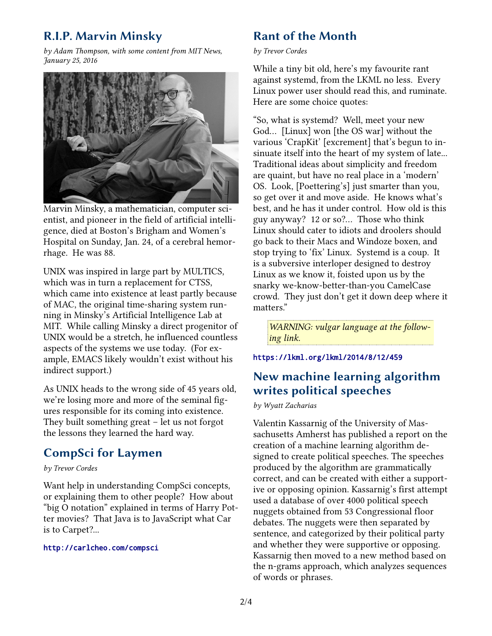# **R.I.P. Marvin Minsky**

*by Adam Thompson, with some content from MIT News, January 25, 2016*



Marvin Minsky, a mathematician, computer scientist, and pioneer in the field of artificial intelligence, died at Boston's Brigham and Women's Hospital on Sunday, Jan. 24, of a cerebral hemorrhage. He was 88.

UNIX was inspired in large part by MULTICS, which was in turn a replacement for CTSS, which came into existence at least partly because of MAC, the original time-sharing system running in Minsky's Artificial Intelligence Lab at MIT. While calling Minsky a direct progenitor of UNIX would be a stretch, he influenced countless aspects of the systems we use today. (For example, EMACS likely wouldn't exist without his indirect support.)

As UNIX heads to the wrong side of 45 years old, we're losing more and more of the seminal figures responsible for its coming into existence. They built something great – let us not forgot the lessons they learned the hard way.

#### **CompSci for Laymen**

*by Trevor Cordes*

Want help in understanding CompSci concepts, or explaining them to other people? How about "big O notation" explained in terms of Harry Potter movies? That Java is to JavaScript what Car is to Carpet?...

#### <http://carlcheo.com/compsci>

### **Rant of the Month**

*by Trevor Cordes*

While a tiny bit old, here's my favourite rant against systemd, from the LKML no less. Every Linux power user should read this, and ruminate. Here are some choice quotes:

"So, what is systemd? Well, meet your new God… [Linux] won [the OS war] without the various 'CrapKit' [excrement] that's begun to insinuate itself into the heart of my system of late... Traditional ideas about simplicity and freedom are quaint, but have no real place in a 'modern' OS. Look, [Poettering's] just smarter than you, so get over it and move aside. He knows what's best, and he has it under control. How old is this guy anyway? 12 or so?… Those who think Linux should cater to idiots and droolers should go back to their Macs and Windoze boxen, and stop trying to 'fix' Linux. Systemd is a coup. It is a subversive interloper designed to destroy Linux as we know it, foisted upon us by the snarky we-know-better-than-you CamelCase crowd. They just don't get it down deep where it matters."

*WARNING: vulgar language at the following link.*

#### <https://lkml.org/lkml/2014/8/12/459>

### **New machine learning algorithm writes political speeches**

*by Wyatt Zacharias*

Valentin Kassarnig of the University of Massachusetts Amherst has published a report on the creation of a machine learning algorithm designed to create political speeches. The speeches produced by the algorithm are grammatically correct, and can be created with either a supportive or opposing opinion. Kassarnig's first attempt used a database of over 4000 political speech nuggets obtained from 53 Congressional floor debates. The nuggets were then separated by sentence, and categorized by their political party and whether they were supportive or opposing. Kassarnig then moved to a new method based on the n-grams approach, which analyzes sequences of words or phrases.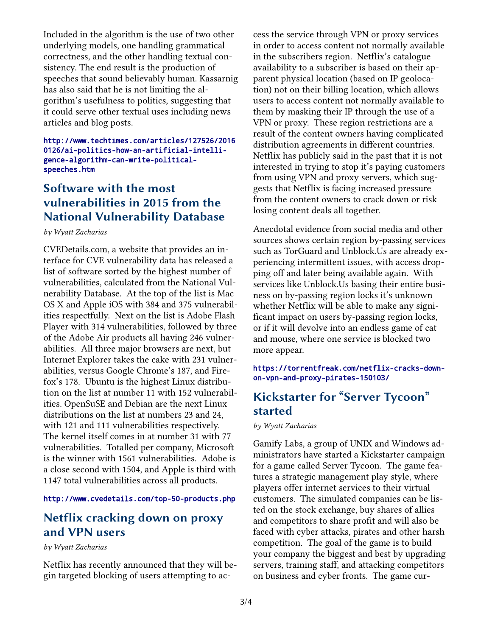Included in the algorithm is the use of two other underlying models, one handling grammatical correctness, and the other handling textual consistency. The end result is the production of speeches that sound believably human. Kassarnig has also said that he is not limiting the algorithm's usefulness to politics, suggesting that it could serve other textual uses including news articles and blog posts.

[http://www.techtimes.com/articles/127526/2016](http://www.techtimes.com/articles/127526/20160126/ai-politics-how-an-artificial-intelligence-algorithm-can-write-political-speeches.htm) [0126/ai-politics-how-an-artificial-intelli](http://www.techtimes.com/articles/127526/20160126/ai-politics-how-an-artificial-intelligence-algorithm-can-write-political-speeches.htm)gence-algorithm-can-write-political[speeches.htm](http://www.techtimes.com/articles/127526/20160126/ai-politics-how-an-artificial-intelligence-algorithm-can-write-political-speeches.htm)

### **Software with the most vulnerabilities in 2015 from the National Vulnerability Database**

*by Wyatt Zacharias*

CVEDetails.com, a website that provides an interface for CVE vulnerability data has released a list of software sorted by the highest number of vulnerabilities, calculated from the National Vulnerability Database. At the top of the list is Mac OS X and Apple iOS with 384 and 375 vulnerabilities respectfully. Next on the list is Adobe Flash Player with 314 vulnerabilities, followed by three of the Adobe Air products all having 246 vulnerabilities. All three major browsers are next, but Internet Explorer takes the cake with 231 vulnerabilities, versus Google Chrome's 187, and Firefox's 178. Ubuntu is the highest Linux distribution on the list at number 11 with 152 vulnerabilities. OpenSuSE and Debian are the next Linux distributions on the list at numbers 23 and 24, with 121 and 111 vulnerabilities respectively. The kernel itself comes in at number 31 with 77 vulnerabilities. Totalled per company, Microsoft is the winner with 1561 vulnerabilities. Adobe is a close second with 1504, and Apple is third with 1147 total vulnerabilities across all products.

#### <http://www.cvedetails.com/top-50-products.php>

### **Netflix cracking down on proxy and VPN users**

*by Wyatt Zacharias*

Netflix has recently announced that they will begin targeted blocking of users attempting to access the service through VPN or proxy services in order to access content not normally available in the subscribers region. Netflix's catalogue availability to a subscriber is based on their apparent physical location (based on IP geolocation) not on their billing location, which allows users to access content not normally available to them by masking their IP through the use of a VPN or proxy. These region restrictions are a result of the content owners having complicated distribution agreements in different countries. Netflix has publicly said in the past that it is not interested in trying to stop it's paying customers from using VPN and proxy servers, which suggests that Netflix is facing increased pressure from the content owners to crack down or risk losing content deals all together.

Anecdotal evidence from social media and other sources shows certain region by-passing services such as TorGuard and Unblock.Us are already experiencing intermittent issues, with access dropping off and later being available again. With services like Unblock.Us basing their entire business on by-passing region locks it's unknown whether Netflix will be able to make any significant impact on users by-passing region locks, or if it will devolve into an endless game of cat and mouse, where one service is blocked two more appear.

[https://torrentfreak.com/netflix-cracks-down](https://torrentfreak.com/netflix-cracks-down-on-vpn-and-proxy-pirates-150103/)[on-vpn-and-proxy-pirates-150103/](https://torrentfreak.com/netflix-cracks-down-on-vpn-and-proxy-pirates-150103/)

### **Kickstarter for "Server Tycoon" started**

*by Wyatt Zacharias*

Gamify Labs, a group of UNIX and Windows administrators have started a Kickstarter campaign for a game called Server Tycoon. The game features a strategic management play style, where players offer internet services to their virtual customers. The simulated companies can be listed on the stock exchange, buy shares of allies and competitors to share profit and will also be faced with cyber attacks, pirates and other harsh competition. The goal of the game is to build your company the biggest and best by upgrading servers, training staff, and attacking competitors on business and cyber fronts. The game cur